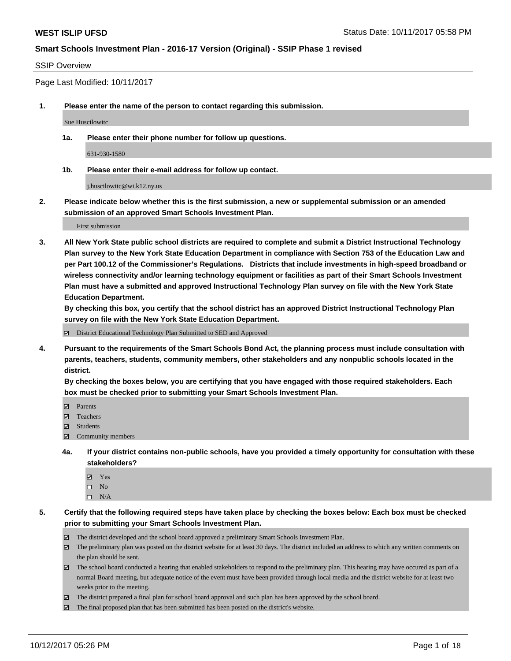#### SSIP Overview

Page Last Modified: 10/11/2017

**1. Please enter the name of the person to contact regarding this submission.**

Sue Huscilowitc

**1a. Please enter their phone number for follow up questions.**

631-930-1580

**1b. Please enter their e-mail address for follow up contact.**

j.huscilowitc@wi.k12.ny.us

**2. Please indicate below whether this is the first submission, a new or supplemental submission or an amended submission of an approved Smart Schools Investment Plan.**

First submission

**3. All New York State public school districts are required to complete and submit a District Instructional Technology Plan survey to the New York State Education Department in compliance with Section 753 of the Education Law and per Part 100.12 of the Commissioner's Regulations. Districts that include investments in high-speed broadband or wireless connectivity and/or learning technology equipment or facilities as part of their Smart Schools Investment Plan must have a submitted and approved Instructional Technology Plan survey on file with the New York State Education Department.** 

**By checking this box, you certify that the school district has an approved District Instructional Technology Plan survey on file with the New York State Education Department.**

District Educational Technology Plan Submitted to SED and Approved

**4. Pursuant to the requirements of the Smart Schools Bond Act, the planning process must include consultation with parents, teachers, students, community members, other stakeholders and any nonpublic schools located in the district.** 

**By checking the boxes below, you are certifying that you have engaged with those required stakeholders. Each box must be checked prior to submitting your Smart Schools Investment Plan.**

- **Parents**
- Teachers
- **☑** Students
- $\Xi$  Community members
- **4a. If your district contains non-public schools, have you provided a timely opportunity for consultation with these stakeholders?**
	- **Ø** Yes
	- $\square$  No
	- $\square$  N/A

**5. Certify that the following required steps have taken place by checking the boxes below: Each box must be checked prior to submitting your Smart Schools Investment Plan.**

- The district developed and the school board approved a preliminary Smart Schools Investment Plan.
- The preliminary plan was posted on the district website for at least 30 days. The district included an address to which any written comments on the plan should be sent.
- The school board conducted a hearing that enabled stakeholders to respond to the preliminary plan. This hearing may have occured as part of a normal Board meeting, but adequate notice of the event must have been provided through local media and the district website for at least two weeks prior to the meeting.
- The district prepared a final plan for school board approval and such plan has been approved by the school board.
- $\boxtimes$  The final proposed plan that has been submitted has been posted on the district's website.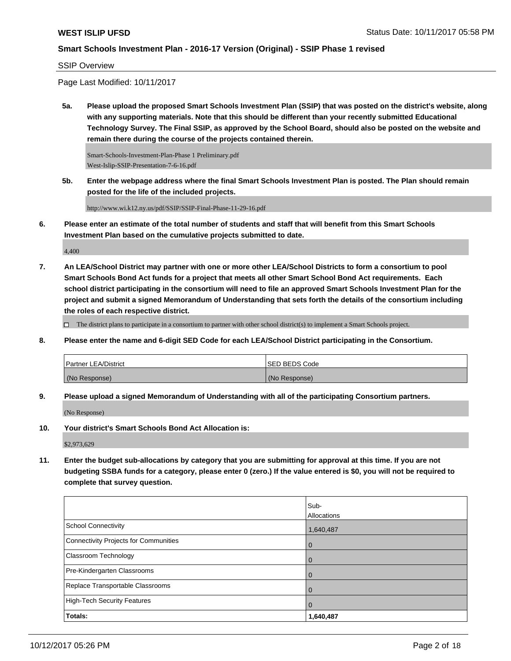#### SSIP Overview

Page Last Modified: 10/11/2017

**5a. Please upload the proposed Smart Schools Investment Plan (SSIP) that was posted on the district's website, along with any supporting materials. Note that this should be different than your recently submitted Educational Technology Survey. The Final SSIP, as approved by the School Board, should also be posted on the website and remain there during the course of the projects contained therein.**

Smart-Schools-Investment-Plan-Phase 1 Preliminary.pdf West-Islip-SSIP-Presentation-7-6-16.pdf

**5b. Enter the webpage address where the final Smart Schools Investment Plan is posted. The Plan should remain posted for the life of the included projects.**

http://www.wi.k12.ny.us/pdf/SSIP/SSIP-Final-Phase-11-29-16.pdf

**6. Please enter an estimate of the total number of students and staff that will benefit from this Smart Schools Investment Plan based on the cumulative projects submitted to date.**

4,400

**7. An LEA/School District may partner with one or more other LEA/School Districts to form a consortium to pool Smart Schools Bond Act funds for a project that meets all other Smart School Bond Act requirements. Each school district participating in the consortium will need to file an approved Smart Schools Investment Plan for the project and submit a signed Memorandum of Understanding that sets forth the details of the consortium including the roles of each respective district.**

 $\Box$  The district plans to participate in a consortium to partner with other school district(s) to implement a Smart Schools project.

**8. Please enter the name and 6-digit SED Code for each LEA/School District participating in the Consortium.**

| <b>Partner LEA/District</b> | <b>ISED BEDS Code</b> |
|-----------------------------|-----------------------|
| (No Response)               | (No Response)         |

**9. Please upload a signed Memorandum of Understanding with all of the participating Consortium partners.**

(No Response)

**10. Your district's Smart Schools Bond Act Allocation is:**

\$2,973,629

**11. Enter the budget sub-allocations by category that you are submitting for approval at this time. If you are not budgeting SSBA funds for a category, please enter 0 (zero.) If the value entered is \$0, you will not be required to complete that survey question.**

|                                       | Sub-           |
|---------------------------------------|----------------|
|                                       | Allocations    |
| School Connectivity                   | 1,640,487      |
| Connectivity Projects for Communities | $\overline{0}$ |
| <b>Classroom Technology</b>           | $\Omega$       |
| Pre-Kindergarten Classrooms           | $\overline{0}$ |
| Replace Transportable Classrooms      | $\Omega$       |
| High-Tech Security Features           | $\overline{0}$ |
| Totals:                               | 1,640,487      |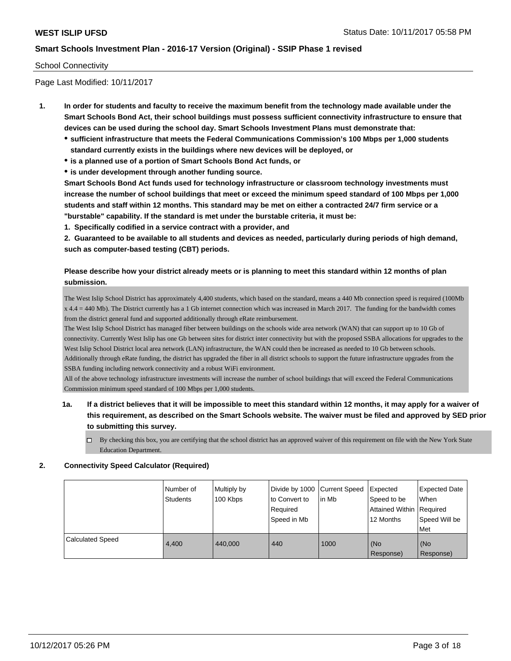### School Connectivity

Page Last Modified: 10/11/2017

- **1. In order for students and faculty to receive the maximum benefit from the technology made available under the Smart Schools Bond Act, their school buildings must possess sufficient connectivity infrastructure to ensure that devices can be used during the school day. Smart Schools Investment Plans must demonstrate that:**
	- **sufficient infrastructure that meets the Federal Communications Commission's 100 Mbps per 1,000 students standard currently exists in the buildings where new devices will be deployed, or**
	- **is a planned use of a portion of Smart Schools Bond Act funds, or**
	- **is under development through another funding source.**

**Smart Schools Bond Act funds used for technology infrastructure or classroom technology investments must increase the number of school buildings that meet or exceed the minimum speed standard of 100 Mbps per 1,000 students and staff within 12 months. This standard may be met on either a contracted 24/7 firm service or a "burstable" capability. If the standard is met under the burstable criteria, it must be:**

**1. Specifically codified in a service contract with a provider, and**

**2. Guaranteed to be available to all students and devices as needed, particularly during periods of high demand, such as computer-based testing (CBT) periods.**

# **Please describe how your district already meets or is planning to meet this standard within 12 months of plan submission.**

The West Islip School District has approximately 4,400 students, which based on the standard, means a 440 Mb connection speed is required (100Mb x 4.4 = 440 Mb). The District currently has a 1 Gb internet connection which was increased in March 2017. The funding for the bandwidth comes from the district general fund and supported additionally through eRate reimbursement.

The West Islip School District has managed fiber between buildings on the schools wide area network (WAN) that can support up to 10 Gb of connectivity. Currently West Islip has one Gb between sites for district inter connectivity but with the proposed SSBA allocations for upgrades to the West Islip School District local area network (LAN) infrastructure, the WAN could then be increased as needed to 10 Gb between schools. Additionally through eRate funding, the district has upgraded the fiber in all district schools to support the future infrastructure upgrades from the SSBA funding including network connectivity and a robust WiFi environment.

All of the above technology infrastructure investments will increase the number of school buildings that will exceed the Federal Communications Commission minimum speed standard of 100 Mbps per 1,000 students.

- **1a. If a district believes that it will be impossible to meet this standard within 12 months, it may apply for a waiver of this requirement, as described on the Smart Schools website. The waiver must be filed and approved by SED prior to submitting this survey.**
	- By checking this box, you are certifying that the school district has an approved waiver of this requirement on file with the New York State Education Department.

#### **2. Connectivity Speed Calculator (Required)**

|                         | I Number of<br>Students | Multiply by<br>100 Kbps | to Convert to<br>Required<br>Speed in Mb | Divide by 1000 Current Speed Expected<br>l in Mb | Speed to be<br>Attained Within Required<br>12 Months | <b>Expected Date</b><br>When<br>Speed Will be<br>Met |
|-------------------------|-------------------------|-------------------------|------------------------------------------|--------------------------------------------------|------------------------------------------------------|------------------------------------------------------|
| <b>Calculated Speed</b> | 4.400                   | 440.000                 | 440                                      | 1000                                             | l (No<br>Response)                                   | (No<br>Response)                                     |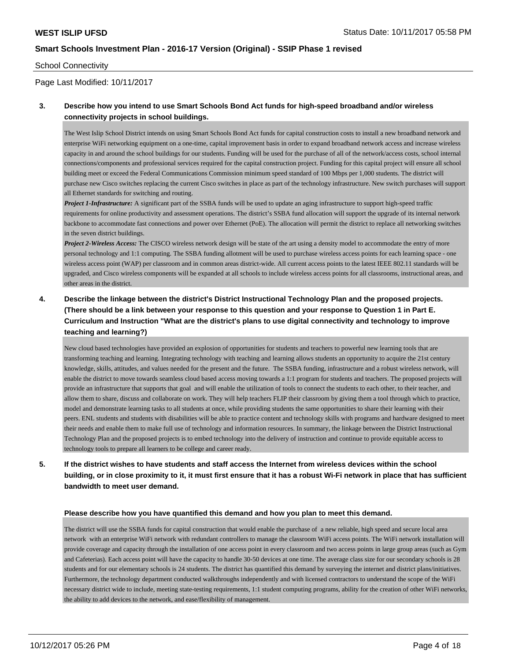#### School Connectivity

Page Last Modified: 10/11/2017

## **3. Describe how you intend to use Smart Schools Bond Act funds for high-speed broadband and/or wireless connectivity projects in school buildings.**

The West Islip School District intends on using Smart Schools Bond Act funds for capital construction costs to install a new broadband network and enterprise WiFi networking equipment on a one-time, capital improvement basis in order to expand broadband network access and increase wireless capacity in and around the school buildings for our students. Funding will be used for the purchase of all of the network/access costs, school internal connections/components and professional services required for the capital construction project. Funding for this capital project will ensure all school building meet or exceed the Federal Communications Commission minimum speed standard of 100 Mbps per 1,000 students. The district will purchase new Cisco switches replacing the current Cisco switches in place as part of the technology infrastructure. New switch purchases will support all Ethernet standards for switching and routing.

*Project 1-Infrastructure:* A significant part of the SSBA funds will be used to update an aging infrastructure to support high-speed traffic requirements for online productivity and assessment operations. The district's SSBA fund allocation will support the upgrade of its internal network backbone to accommodate fast connections and power over Ethernet (PoE). The allocation will permit the district to replace all networking switches in the seven district buildings.

*Project 2-Wireless Access:* The CISCO wireless network design will be state of the art using a density model to accommodate the entry of more personal technology and 1:1 computing. The SSBA funding allotment will be used to purchase wireless access points for each learning space - one wireless access point (WAP) per classroom and in common areas district-wide. All current access points to the latest IEEE 802.11 standards will be upgraded, and Cisco wireless components will be expanded at all schools to include wireless access points for all classrooms, instructional areas, and other areas in the district.

# **4. Describe the linkage between the district's District Instructional Technology Plan and the proposed projects. (There should be a link between your response to this question and your response to Question 1 in Part E. Curriculum and Instruction "What are the district's plans to use digital connectivity and technology to improve teaching and learning?)**

New cloud based technologies have provided an explosion of opportunities for students and teachers to powerful new learning tools that are transforming teaching and learning. Integrating technology with teaching and learning allows students an opportunity to acquire the 21st century knowledge, skills, attitudes, and values needed for the present and the future. The SSBA funding, infrastructure and a robust wireless network, will enable the district to move towards seamless cloud based access moving towards a 1:1 program for students and teachers. The proposed projects will provide an infrastructure that supports that goal and will enable the utilization of tools to connect the students to each other, to their teacher, and allow them to share, discuss and collaborate on work. They will help teachers FLIP their classroom by giving them a tool through which to practice, model and demonstrate learning tasks to all students at once, while providing students the same opportunities to share their learning with their peers. ENL students and students with disabilities will be able to practice content and technology skills with programs and hardware designed to meet their needs and enable them to make full use of technology and information resources. In summary, the linkage between the District Instructional Technology Plan and the proposed projects is to embed technology into the delivery of instruction and continue to provide equitable access to technology tools to prepare all learners to be college and career ready.

**5. If the district wishes to have students and staff access the Internet from wireless devices within the school building, or in close proximity to it, it must first ensure that it has a robust Wi-Fi network in place that has sufficient bandwidth to meet user demand.**

#### **Please describe how you have quantified this demand and how you plan to meet this demand.**

The district will use the SSBA funds for capital construction that would enable the purchase of a new reliable, high speed and secure local area network with an enterprise WiFi network with redundant controllers to manage the classroom WiFi access points. The WiFi network installation will provide coverage and capacity through the installation of one access point in every classroom and two access points in large group areas (such as Gym and Cafeterias). Each access point will have the capacity to handle 30-50 devices at one time. The average class size for our secondary schools is 28 students and for our elementary schools is 24 students. The district has quantified this demand by surveying the internet and district plans/initiatives. Furthermore, the technology department conducted walkthroughs independently and with licensed contractors to understand the scope of the WiFi necessary district wide to include, meeting state-testing requirements, 1:1 student computing programs, ability for the creation of other WiFi networks, the ability to add devices to the network, and ease/flexibility of management.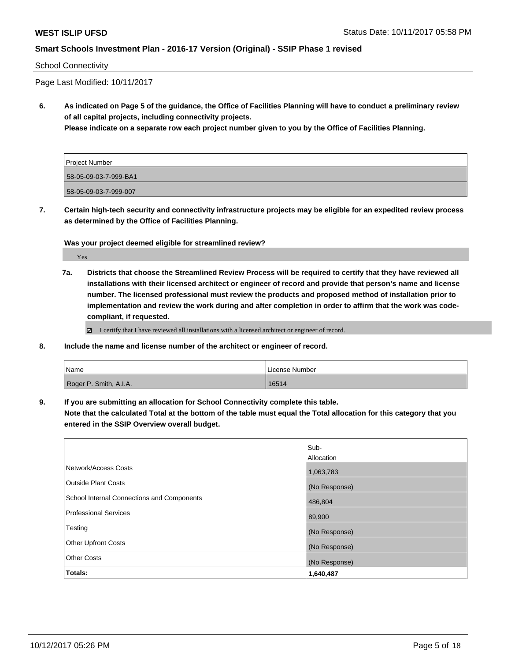#### School Connectivity

Page Last Modified: 10/11/2017

**6. As indicated on Page 5 of the guidance, the Office of Facilities Planning will have to conduct a preliminary review of all capital projects, including connectivity projects.**

**Please indicate on a separate row each project number given to you by the Office of Facilities Planning.**

| Project Number        |  |
|-----------------------|--|
| 58-05-09-03-7-999-BA1 |  |
| 58-05-09-03-7-999-007 |  |

**7. Certain high-tech security and connectivity infrastructure projects may be eligible for an expedited review process as determined by the Office of Facilities Planning.**

**Was your project deemed eligible for streamlined review?**

Yes

**7a. Districts that choose the Streamlined Review Process will be required to certify that they have reviewed all installations with their licensed architect or engineer of record and provide that person's name and license number. The licensed professional must review the products and proposed method of installation prior to implementation and review the work during and after completion in order to affirm that the work was codecompliant, if requested.**

I certify that I have reviewed all installations with a licensed architect or engineer of record.

**8. Include the name and license number of the architect or engineer of record.**

| Name                   | License Number |
|------------------------|----------------|
| Roger P. Smith, A.I.A. | 16514          |

**9. If you are submitting an allocation for School Connectivity complete this table.**

**Note that the calculated Total at the bottom of the table must equal the Total allocation for this category that you entered in the SSIP Overview overall budget.** 

|                                                   | Sub-          |
|---------------------------------------------------|---------------|
|                                                   | Allocation    |
| Network/Access Costs                              | 1,063,783     |
| Outside Plant Costs                               | (No Response) |
| <b>School Internal Connections and Components</b> | 486,804       |
| <b>Professional Services</b>                      | 89,900        |
| Testing                                           | (No Response) |
| <b>Other Upfront Costs</b>                        | (No Response) |
| <b>Other Costs</b>                                | (No Response) |
| Totals:                                           | 1,640,487     |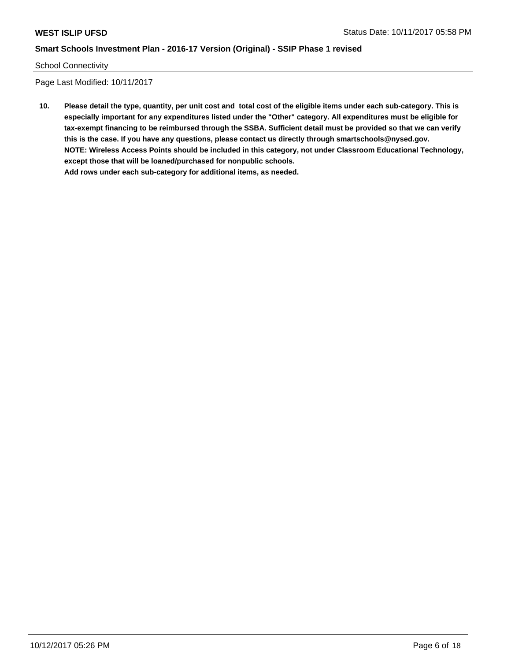#### School Connectivity

Page Last Modified: 10/11/2017

**10. Please detail the type, quantity, per unit cost and total cost of the eligible items under each sub-category. This is especially important for any expenditures listed under the "Other" category. All expenditures must be eligible for tax-exempt financing to be reimbursed through the SSBA. Sufficient detail must be provided so that we can verify this is the case. If you have any questions, please contact us directly through smartschools@nysed.gov. NOTE: Wireless Access Points should be included in this category, not under Classroom Educational Technology, except those that will be loaned/purchased for nonpublic schools. Add rows under each sub-category for additional items, as needed.**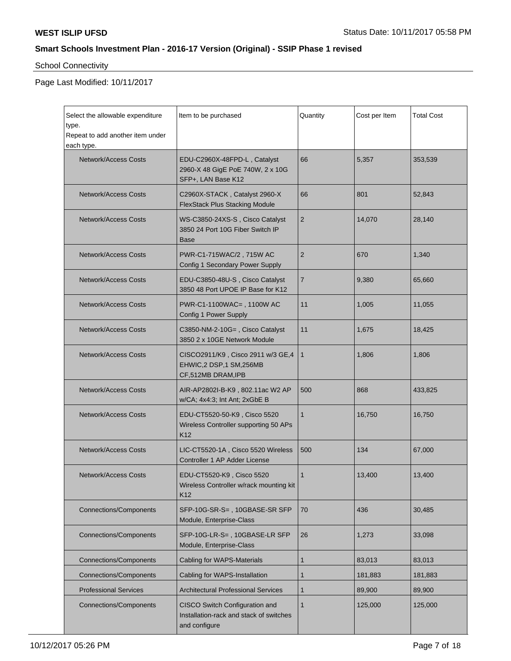# School Connectivity

| Select the allowable expenditure<br>type.<br>Repeat to add another item under | Item to be purchased                                                                                       | Quantity       | Cost per Item | <b>Total Cost</b> |
|-------------------------------------------------------------------------------|------------------------------------------------------------------------------------------------------------|----------------|---------------|-------------------|
| each type.<br>Network/Access Costs                                            | EDU-C2960X-48FPD-L, Catalyst<br>2960-X 48 GigE PoE 740W, 2 x 10G<br>SFP+, LAN Base K12                     | 66             | 5,357         | 353,539           |
| <b>Network/Access Costs</b>                                                   | C2960X-STACK, Catalyst 2960-X<br><b>FlexStack Plus Stacking Module</b>                                     | 66             | 801           | 52,843            |
| <b>Network/Access Costs</b>                                                   | WS-C3850-24XS-S, Cisco Catalyst<br>3850 24 Port 10G Fiber Switch IP<br>Base                                | $\overline{2}$ | 14,070        | 28,140            |
| <b>Network/Access Costs</b>                                                   | PWR-C1-715WAC/2, 715W AC<br>Config 1 Secondary Power Supply                                                | 2              | 670           | 1,340             |
| <b>Network/Access Costs</b>                                                   | EDU-C3850-48U-S, Cisco Catalyst<br>3850 48 Port UPOE IP Base for K12                                       | $\overline{7}$ | 9,380         | 65,660            |
| <b>Network/Access Costs</b>                                                   | PWR-C1-1100WAC=, 1100W AC<br>Config 1 Power Supply                                                         | 11             | 1,005         | 11,055            |
| <b>Network/Access Costs</b>                                                   | C3850-NM-2-10G=, Cisco Catalyst<br>3850 2 x 10GE Network Module                                            | 11             | 1,675         | 18,425            |
| <b>Network/Access Costs</b>                                                   | CISCO2911/K9, Cisco 2911 w/3 GE,4<br>EHWIC,2 DSP,1 SM,256MB<br>CF,512MB DRAM, IPB                          | $\mathbf{1}$   | 1,806         | 1,806             |
| <b>Network/Access Costs</b>                                                   | AIR-AP2802I-B-K9, 802.11ac W2 AP<br>w/CA; 4x4:3; Int Ant; 2xGbE B                                          | 500            | 868           | 433,825           |
| <b>Network/Access Costs</b>                                                   | EDU-CT5520-50-K9, Cisco 5520<br>Wireless Controller supporting 50 APs<br>K12                               | $\mathbf{1}$   | 16,750        | 16,750            |
| Network/Access Costs                                                          | LIC-CT5520-1A, Cisco 5520 Wireless<br>Controller 1 AP Adder License                                        | 500            | 134           | 67,000            |
| <b>Network/Access Costs</b>                                                   | EDU-CT5520-K9, Cisco 5520<br>Wireless Controller w/rack mounting kit<br>K12                                | 1              | 13,400        | 13,400            |
| <b>Connections/Components</b>                                                 | SFP-10G-SR-S=, 10GBASE-SR SFP<br>Module, Enterprise-Class                                                  | 70             | 436           | 30,485            |
| <b>Connections/Components</b>                                                 | SFP-10G-LR-S=, 10GBASE-LR SFP<br>Module, Enterprise-Class                                                  | 26             | 1,273         | 33,098            |
| <b>Connections/Components</b>                                                 | Cabling for WAPS-Materials                                                                                 | 1              | 83,013        | 83,013            |
| <b>Connections/Components</b>                                                 | Cabling for WAPS-Installation                                                                              | $\mathbf{1}$   | 181,883       | 181,883           |
| <b>Professional Services</b>                                                  | <b>Architectural Professional Services</b>                                                                 | $\mathbf 1$    | 89,900        | 89,900            |
| <b>Connections/Components</b>                                                 | CISCO Switch Configuration and<br>$\mathbf{1}$<br>Installation-rack and stack of switches<br>and configure |                | 125,000       | 125,000           |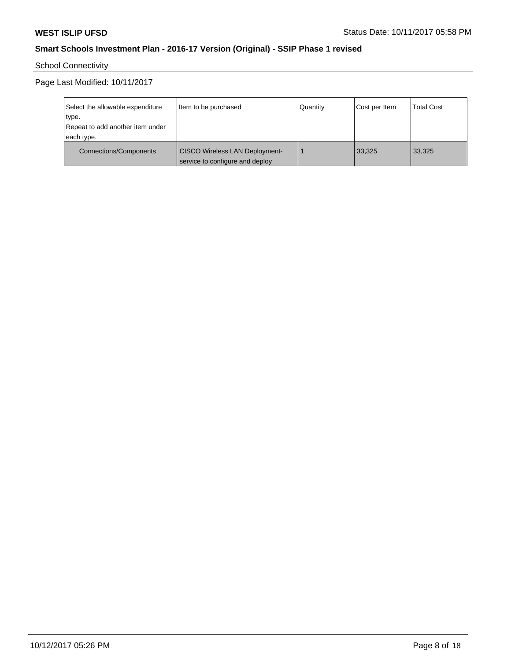School Connectivity

| Select the allowable expenditure<br>type.<br>Repeat to add another item under<br>each type. | Item to be purchased                                                     | Quantity | Cost per Item | <b>Total Cost</b> |
|---------------------------------------------------------------------------------------------|--------------------------------------------------------------------------|----------|---------------|-------------------|
| Connections/Components                                                                      | <b>CISCO Wireless LAN Deployment-</b><br>service to configure and deploy |          | 33,325        | 33,325            |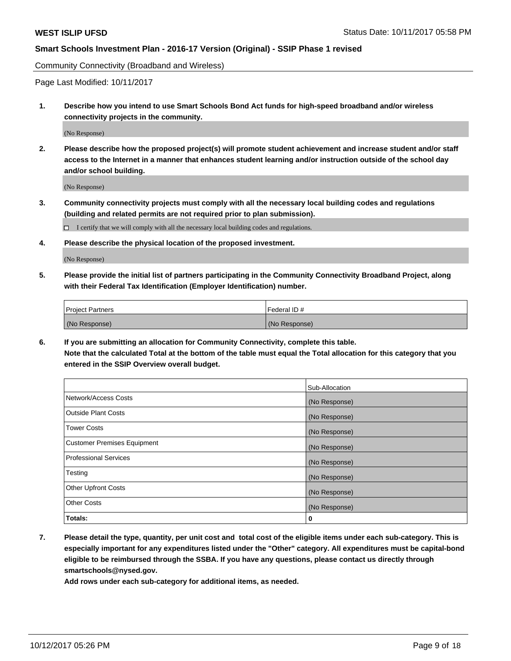Community Connectivity (Broadband and Wireless)

Page Last Modified: 10/11/2017

**1. Describe how you intend to use Smart Schools Bond Act funds for high-speed broadband and/or wireless connectivity projects in the community.**

(No Response)

**2. Please describe how the proposed project(s) will promote student achievement and increase student and/or staff access to the Internet in a manner that enhances student learning and/or instruction outside of the school day and/or school building.**

(No Response)

**3. Community connectivity projects must comply with all the necessary local building codes and regulations (building and related permits are not required prior to plan submission).**

 $\Box$  I certify that we will comply with all the necessary local building codes and regulations.

**4. Please describe the physical location of the proposed investment.**

(No Response)

**5. Please provide the initial list of partners participating in the Community Connectivity Broadband Project, along with their Federal Tax Identification (Employer Identification) number.**

| <b>Project Partners</b> | l Federal ID # |
|-------------------------|----------------|
| (No Response)           | (No Response)  |

**6. If you are submitting an allocation for Community Connectivity, complete this table. Note that the calculated Total at the bottom of the table must equal the Total allocation for this category that you entered in the SSIP Overview overall budget.**

|                                    | Sub-Allocation |
|------------------------------------|----------------|
| Network/Access Costs               | (No Response)  |
| <b>Outside Plant Costs</b>         | (No Response)  |
| <b>Tower Costs</b>                 | (No Response)  |
| <b>Customer Premises Equipment</b> | (No Response)  |
| <b>Professional Services</b>       | (No Response)  |
| Testing                            | (No Response)  |
| <b>Other Upfront Costs</b>         | (No Response)  |
| <b>Other Costs</b>                 | (No Response)  |
| Totals:                            | 0              |

**7. Please detail the type, quantity, per unit cost and total cost of the eligible items under each sub-category. This is especially important for any expenditures listed under the "Other" category. All expenditures must be capital-bond eligible to be reimbursed through the SSBA. If you have any questions, please contact us directly through smartschools@nysed.gov.**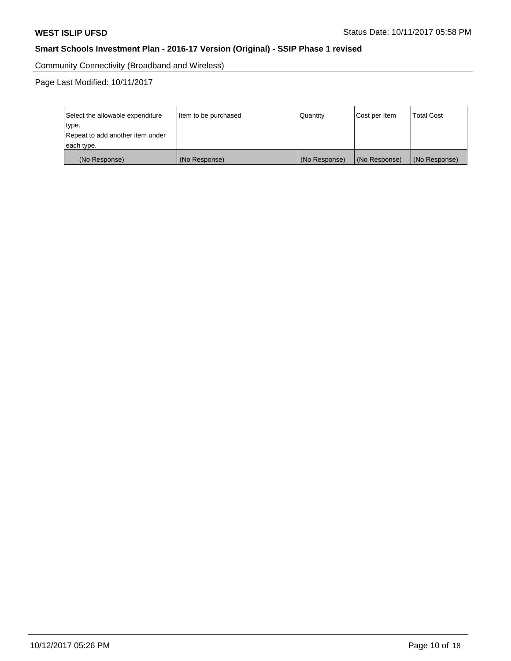Community Connectivity (Broadband and Wireless)

| Select the allowable expenditure<br>type.<br>Repeat to add another item under | Item to be purchased | Quantity      | Cost per Item | <b>Total Cost</b> |
|-------------------------------------------------------------------------------|----------------------|---------------|---------------|-------------------|
| each type.                                                                    |                      |               |               |                   |
| (No Response)                                                                 | (No Response)        | (No Response) | (No Response) | (No Response)     |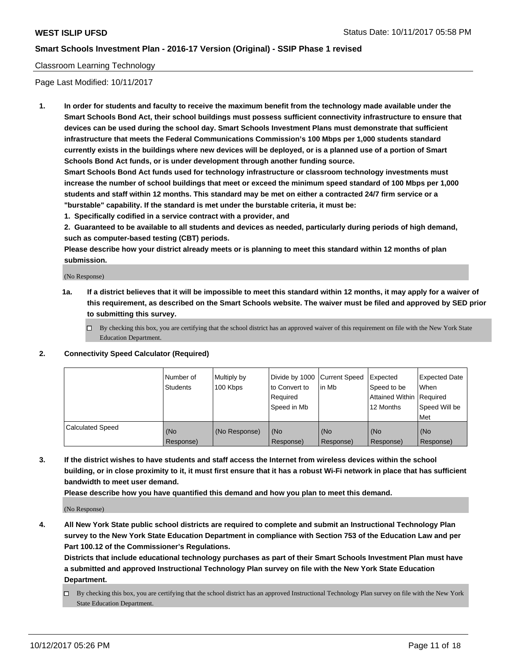## Classroom Learning Technology

Page Last Modified: 10/11/2017

**1. In order for students and faculty to receive the maximum benefit from the technology made available under the Smart Schools Bond Act, their school buildings must possess sufficient connectivity infrastructure to ensure that devices can be used during the school day. Smart Schools Investment Plans must demonstrate that sufficient infrastructure that meets the Federal Communications Commission's 100 Mbps per 1,000 students standard currently exists in the buildings where new devices will be deployed, or is a planned use of a portion of Smart Schools Bond Act funds, or is under development through another funding source.**

**Smart Schools Bond Act funds used for technology infrastructure or classroom technology investments must increase the number of school buildings that meet or exceed the minimum speed standard of 100 Mbps per 1,000 students and staff within 12 months. This standard may be met on either a contracted 24/7 firm service or a "burstable" capability. If the standard is met under the burstable criteria, it must be:**

**1. Specifically codified in a service contract with a provider, and**

**2. Guaranteed to be available to all students and devices as needed, particularly during periods of high demand, such as computer-based testing (CBT) periods.**

**Please describe how your district already meets or is planning to meet this standard within 12 months of plan submission.**

(No Response)

- **1a. If a district believes that it will be impossible to meet this standard within 12 months, it may apply for a waiver of this requirement, as described on the Smart Schools website. The waiver must be filed and approved by SED prior to submitting this survey.**
	- $\Box$  By checking this box, you are certifying that the school district has an approved waiver of this requirement on file with the New York State Education Department.
- **2. Connectivity Speed Calculator (Required)**

|                         | Number of<br><b>Students</b> | Multiply by<br>100 Kbps | Divide by 1000 Current Speed<br>to Convert to<br>Reauired<br>Speed in Mb | l in Mb          | Expected<br>Speed to be<br>Attained Within   Required<br>12 Months | Expected Date<br>When<br>Speed Will be<br>Met |
|-------------------------|------------------------------|-------------------------|--------------------------------------------------------------------------|------------------|--------------------------------------------------------------------|-----------------------------------------------|
| <b>Calculated Speed</b> | (No<br>Response)             | (No Response)           | (No<br>Response)                                                         | (No<br>Response) | (No<br>Response)                                                   | (No<br>Response)                              |

**3. If the district wishes to have students and staff access the Internet from wireless devices within the school building, or in close proximity to it, it must first ensure that it has a robust Wi-Fi network in place that has sufficient bandwidth to meet user demand.**

**Please describe how you have quantified this demand and how you plan to meet this demand.**

(No Response)

**4. All New York State public school districts are required to complete and submit an Instructional Technology Plan survey to the New York State Education Department in compliance with Section 753 of the Education Law and per Part 100.12 of the Commissioner's Regulations.**

**Districts that include educational technology purchases as part of their Smart Schools Investment Plan must have a submitted and approved Instructional Technology Plan survey on file with the New York State Education Department.**

By checking this box, you are certifying that the school district has an approved Instructional Technology Plan survey on file with the New York State Education Department.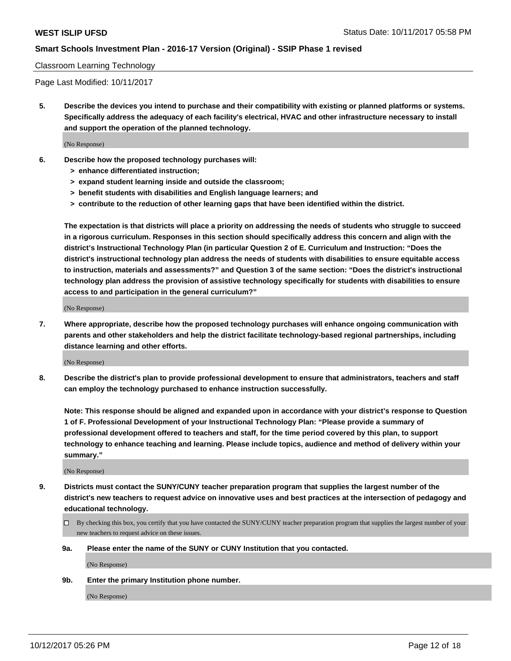#### Classroom Learning Technology

Page Last Modified: 10/11/2017

**5. Describe the devices you intend to purchase and their compatibility with existing or planned platforms or systems. Specifically address the adequacy of each facility's electrical, HVAC and other infrastructure necessary to install and support the operation of the planned technology.**

(No Response)

- **6. Describe how the proposed technology purchases will:**
	- **> enhance differentiated instruction;**
	- **> expand student learning inside and outside the classroom;**
	- **> benefit students with disabilities and English language learners; and**
	- **> contribute to the reduction of other learning gaps that have been identified within the district.**

**The expectation is that districts will place a priority on addressing the needs of students who struggle to succeed in a rigorous curriculum. Responses in this section should specifically address this concern and align with the district's Instructional Technology Plan (in particular Question 2 of E. Curriculum and Instruction: "Does the district's instructional technology plan address the needs of students with disabilities to ensure equitable access to instruction, materials and assessments?" and Question 3 of the same section: "Does the district's instructional technology plan address the provision of assistive technology specifically for students with disabilities to ensure access to and participation in the general curriculum?"**

(No Response)

**7. Where appropriate, describe how the proposed technology purchases will enhance ongoing communication with parents and other stakeholders and help the district facilitate technology-based regional partnerships, including distance learning and other efforts.**

(No Response)

**8. Describe the district's plan to provide professional development to ensure that administrators, teachers and staff can employ the technology purchased to enhance instruction successfully.**

**Note: This response should be aligned and expanded upon in accordance with your district's response to Question 1 of F. Professional Development of your Instructional Technology Plan: "Please provide a summary of professional development offered to teachers and staff, for the time period covered by this plan, to support technology to enhance teaching and learning. Please include topics, audience and method of delivery within your summary."**

(No Response)

- **9. Districts must contact the SUNY/CUNY teacher preparation program that supplies the largest number of the district's new teachers to request advice on innovative uses and best practices at the intersection of pedagogy and educational technology.**
	- By checking this box, you certify that you have contacted the SUNY/CUNY teacher preparation program that supplies the largest number of your new teachers to request advice on these issues.
	- **9a. Please enter the name of the SUNY or CUNY Institution that you contacted.**

(No Response)

**9b. Enter the primary Institution phone number.**

(No Response)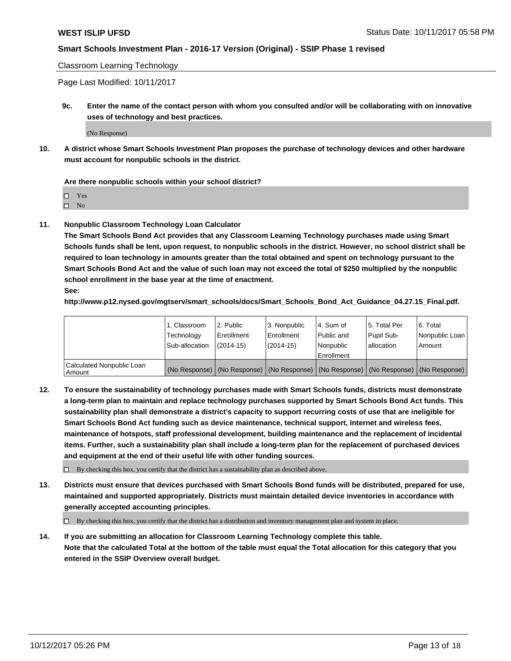Classroom Learning Technology

Page Last Modified: 10/11/2017

**9c. Enter the name of the contact person with whom you consulted and/or will be collaborating with on innovative uses of technology and best practices.**

(No Response)

**10. A district whose Smart Schools Investment Plan proposes the purchase of technology devices and other hardware must account for nonpublic schools in the district.**

**Are there nonpublic schools within your school district?**

Yes

 $\square$  No

**11. Nonpublic Classroom Technology Loan Calculator**

**The Smart Schools Bond Act provides that any Classroom Learning Technology purchases made using Smart Schools funds shall be lent, upon request, to nonpublic schools in the district. However, no school district shall be required to loan technology in amounts greater than the total obtained and spent on technology pursuant to the Smart Schools Bond Act and the value of such loan may not exceed the total of \$250 multiplied by the nonpublic school enrollment in the base year at the time of enactment.**

**See:**

**http://www.p12.nysed.gov/mgtserv/smart\_schools/docs/Smart\_Schools\_Bond\_Act\_Guidance\_04.27.15\_Final.pdf.**

|                                       | 1. Classroom   | l 2. Public   | 3. Nonpublic | l 4. Sum of | 15. Total Per                                                                                 | 6. Total       |
|---------------------------------------|----------------|---------------|--------------|-------------|-----------------------------------------------------------------------------------------------|----------------|
|                                       | Technology     | Enrollment    | Enrollment   | Public and  | Pupil Sub-                                                                                    | Nonpublic Loan |
|                                       | Sub-allocation | $(2014 - 15)$ | $(2014-15)$  | l Nonpublic | allocation                                                                                    | Amount         |
|                                       |                |               |              | Enrollment  |                                                                                               |                |
| Calculated Nonpublic Loan<br>  Amount |                |               |              |             | (No Response)   (No Response)   (No Response)   (No Response)   (No Response)   (No Response) |                |

**12. To ensure the sustainability of technology purchases made with Smart Schools funds, districts must demonstrate a long-term plan to maintain and replace technology purchases supported by Smart Schools Bond Act funds. This sustainability plan shall demonstrate a district's capacity to support recurring costs of use that are ineligible for Smart Schools Bond Act funding such as device maintenance, technical support, Internet and wireless fees, maintenance of hotspots, staff professional development, building maintenance and the replacement of incidental items. Further, such a sustainability plan shall include a long-term plan for the replacement of purchased devices and equipment at the end of their useful life with other funding sources.**

 $\Box$  By checking this box, you certify that the district has a sustainability plan as described above.

**13. Districts must ensure that devices purchased with Smart Schools Bond funds will be distributed, prepared for use, maintained and supported appropriately. Districts must maintain detailed device inventories in accordance with generally accepted accounting principles.**

By checking this box, you certify that the district has a distribution and inventory management plan and system in place.

**14. If you are submitting an allocation for Classroom Learning Technology complete this table. Note that the calculated Total at the bottom of the table must equal the Total allocation for this category that you entered in the SSIP Overview overall budget.**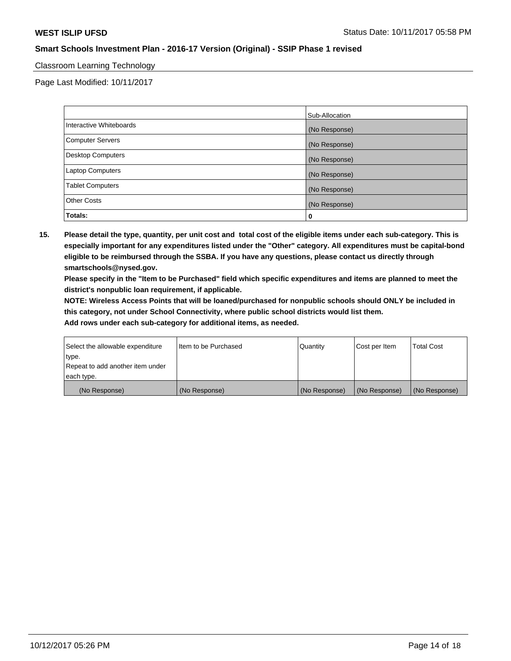## Classroom Learning Technology

Page Last Modified: 10/11/2017

|                          | Sub-Allocation |
|--------------------------|----------------|
| Interactive Whiteboards  | (No Response)  |
| Computer Servers         | (No Response)  |
| <b>Desktop Computers</b> | (No Response)  |
| Laptop Computers         | (No Response)  |
| <b>Tablet Computers</b>  | (No Response)  |
| <b>Other Costs</b>       | (No Response)  |
| Totals:                  | 0              |

**15. Please detail the type, quantity, per unit cost and total cost of the eligible items under each sub-category. This is especially important for any expenditures listed under the "Other" category. All expenditures must be capital-bond eligible to be reimbursed through the SSBA. If you have any questions, please contact us directly through smartschools@nysed.gov.**

**Please specify in the "Item to be Purchased" field which specific expenditures and items are planned to meet the district's nonpublic loan requirement, if applicable.**

**NOTE: Wireless Access Points that will be loaned/purchased for nonpublic schools should ONLY be included in this category, not under School Connectivity, where public school districts would list them.**

| Select the allowable expenditure<br>∣type. | Iltem to be Purchased | Quantity      | Cost per Item | <b>Total Cost</b> |
|--------------------------------------------|-----------------------|---------------|---------------|-------------------|
| Repeat to add another item under           |                       |               |               |                   |
| each type.                                 |                       |               |               |                   |
| (No Response)                              | (No Response)         | (No Response) | (No Response) | (No Response)     |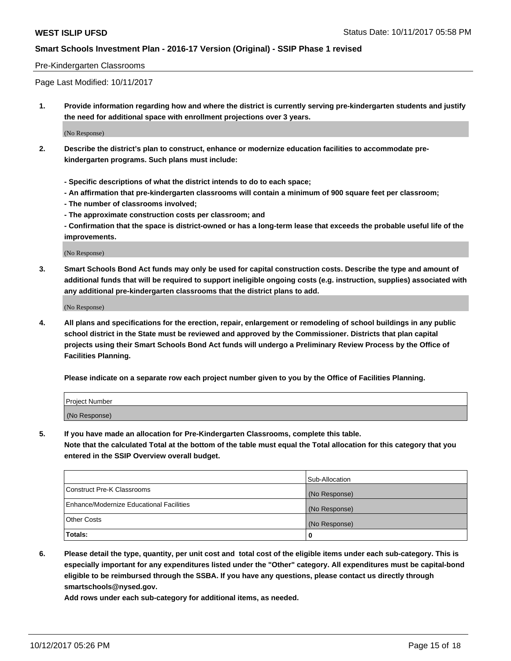#### Pre-Kindergarten Classrooms

Page Last Modified: 10/11/2017

**1. Provide information regarding how and where the district is currently serving pre-kindergarten students and justify the need for additional space with enrollment projections over 3 years.**

(No Response)

- **2. Describe the district's plan to construct, enhance or modernize education facilities to accommodate prekindergarten programs. Such plans must include:**
	- **Specific descriptions of what the district intends to do to each space;**
	- **An affirmation that pre-kindergarten classrooms will contain a minimum of 900 square feet per classroom;**
	- **The number of classrooms involved;**
	- **The approximate construction costs per classroom; and**
	- **Confirmation that the space is district-owned or has a long-term lease that exceeds the probable useful life of the improvements.**

(No Response)

**3. Smart Schools Bond Act funds may only be used for capital construction costs. Describe the type and amount of additional funds that will be required to support ineligible ongoing costs (e.g. instruction, supplies) associated with any additional pre-kindergarten classrooms that the district plans to add.**

(No Response)

**4. All plans and specifications for the erection, repair, enlargement or remodeling of school buildings in any public school district in the State must be reviewed and approved by the Commissioner. Districts that plan capital projects using their Smart Schools Bond Act funds will undergo a Preliminary Review Process by the Office of Facilities Planning.**

**Please indicate on a separate row each project number given to you by the Office of Facilities Planning.**

| Project Number |  |
|----------------|--|
| (No Response)  |  |

**5. If you have made an allocation for Pre-Kindergarten Classrooms, complete this table.**

**Note that the calculated Total at the bottom of the table must equal the Total allocation for this category that you entered in the SSIP Overview overall budget.**

|                                          | Sub-Allocation |
|------------------------------------------|----------------|
| Construct Pre-K Classrooms               | (No Response)  |
| Enhance/Modernize Educational Facilities | (No Response)  |
| <b>Other Costs</b>                       | (No Response)  |
| <b>Totals:</b>                           | 0              |

**6. Please detail the type, quantity, per unit cost and total cost of the eligible items under each sub-category. This is especially important for any expenditures listed under the "Other" category. All expenditures must be capital-bond eligible to be reimbursed through the SSBA. If you have any questions, please contact us directly through smartschools@nysed.gov.**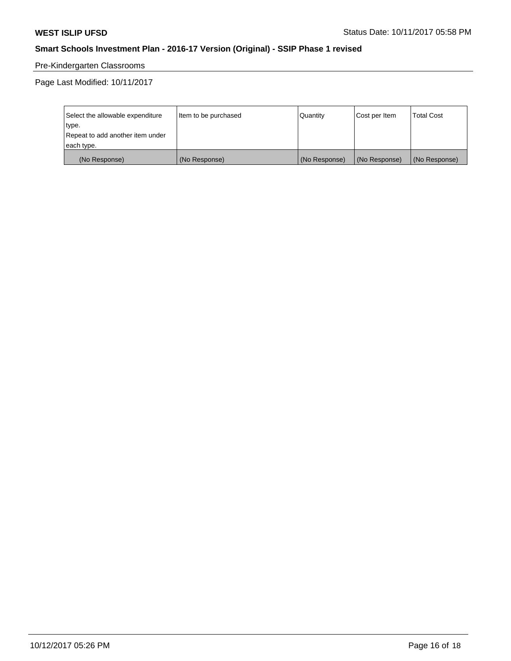# Pre-Kindergarten Classrooms

| Select the allowable expenditure | Item to be purchased | Quantity      | Cost per Item | <b>Total Cost</b> |
|----------------------------------|----------------------|---------------|---------------|-------------------|
| type.                            |                      |               |               |                   |
| Repeat to add another item under |                      |               |               |                   |
| each type.                       |                      |               |               |                   |
| (No Response)                    | (No Response)        | (No Response) | (No Response) | (No Response)     |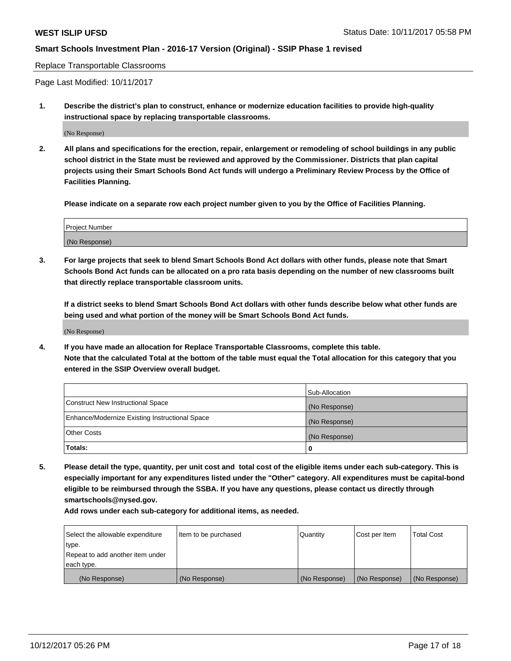#### Replace Transportable Classrooms

Page Last Modified: 10/11/2017

**1. Describe the district's plan to construct, enhance or modernize education facilities to provide high-quality instructional space by replacing transportable classrooms.**

(No Response)

**2. All plans and specifications for the erection, repair, enlargement or remodeling of school buildings in any public school district in the State must be reviewed and approved by the Commissioner. Districts that plan capital projects using their Smart Schools Bond Act funds will undergo a Preliminary Review Process by the Office of Facilities Planning.**

**Please indicate on a separate row each project number given to you by the Office of Facilities Planning.**

| <b>Project Number</b> |  |
|-----------------------|--|
| (No Response)         |  |

**3. For large projects that seek to blend Smart Schools Bond Act dollars with other funds, please note that Smart Schools Bond Act funds can be allocated on a pro rata basis depending on the number of new classrooms built that directly replace transportable classroom units.**

**If a district seeks to blend Smart Schools Bond Act dollars with other funds describe below what other funds are being used and what portion of the money will be Smart Schools Bond Act funds.**

(No Response)

**4. If you have made an allocation for Replace Transportable Classrooms, complete this table. Note that the calculated Total at the bottom of the table must equal the Total allocation for this category that you entered in the SSIP Overview overall budget.**

|                                                | Sub-Allocation |
|------------------------------------------------|----------------|
| Construct New Instructional Space              | (No Response)  |
| Enhance/Modernize Existing Instructional Space | (No Response)  |
| <b>Other Costs</b>                             | (No Response)  |
| Totals:                                        | 0              |

**5. Please detail the type, quantity, per unit cost and total cost of the eligible items under each sub-category. This is especially important for any expenditures listed under the "Other" category. All expenditures must be capital-bond eligible to be reimbursed through the SSBA. If you have any questions, please contact us directly through smartschools@nysed.gov.**

| Select the allowable expenditure | Item to be purchased | Quantity      | Cost per Item | <b>Total Cost</b> |
|----------------------------------|----------------------|---------------|---------------|-------------------|
| type.                            |                      |               |               |                   |
| Repeat to add another item under |                      |               |               |                   |
| each type.                       |                      |               |               |                   |
| (No Response)                    | (No Response)        | (No Response) | (No Response) | (No Response)     |